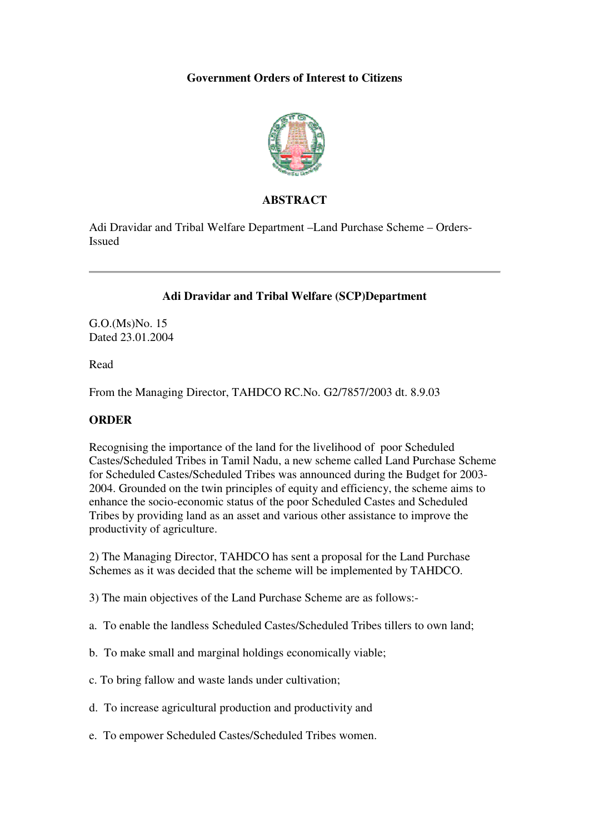# **Government Orders of Interest to Citizens**



### **ABSTRACT**

Adi Dravidar and Tribal Welfare Department –Land Purchase Scheme – Orders-Issued

# **Adi Dravidar and Tribal Welfare (SCP)Department**

G.O.(Ms)No. 15 Dated 23.01.2004

Read

From the Managing Director, TAHDCO RC.No. G2/7857/2003 dt. 8.9.03

# **ORDER**

Recognising the importance of the land for the livelihood of poor Scheduled Castes/Scheduled Tribes in Tamil Nadu, a new scheme called Land Purchase Scheme for Scheduled Castes/Scheduled Tribes was announced during the Budget for 2003- 2004. Grounded on the twin principles of equity and efficiency, the scheme aims to enhance the socio-economic status of the poor Scheduled Castes and Scheduled Tribes by providing land as an asset and various other assistance to improve the productivity of agriculture.

2) The Managing Director, TAHDCO has sent a proposal for the Land Purchase Schemes as it was decided that the scheme will be implemented by TAHDCO.

3) The main objectives of the Land Purchase Scheme are as follows:-

- a. To enable the landless Scheduled Castes/Scheduled Tribes tillers to own land;
- b. To make small and marginal holdings economically viable;
- c. To bring fallow and waste lands under cultivation;
- d. To increase agricultural production and productivity and
- e. To empower Scheduled Castes/Scheduled Tribes women.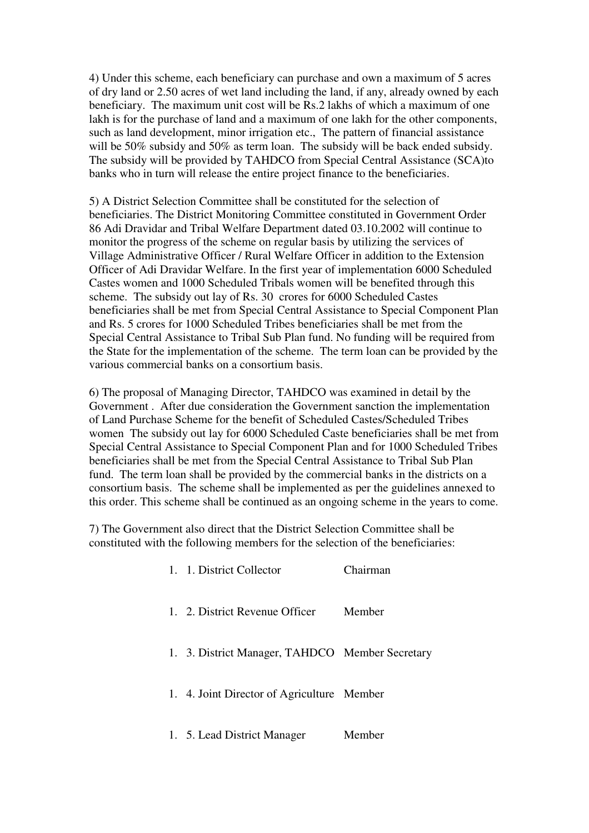4) Under this scheme, each beneficiary can purchase and own a maximum of 5 acres of dry land or 2.50 acres of wet land including the land, if any, already owned by each beneficiary. The maximum unit cost will be Rs.2 lakhs of which a maximum of one lakh is for the purchase of land and a maximum of one lakh for the other components, such as land development, minor irrigation etc., The pattern of financial assistance will be 50% subsidy and 50% as term loan. The subsidy will be back ended subsidy. The subsidy will be provided by TAHDCO from Special Central Assistance (SCA)to banks who in turn will release the entire project finance to the beneficiaries.

5) A District Selection Committee shall be constituted for the selection of beneficiaries. The District Monitoring Committee constituted in Government Order 86 Adi Dravidar and Tribal Welfare Department dated 03.10.2002 will continue to monitor the progress of the scheme on regular basis by utilizing the services of Village Administrative Officer / Rural Welfare Officer in addition to the Extension Officer of Adi Dravidar Welfare. In the first year of implementation 6000 Scheduled Castes women and 1000 Scheduled Tribals women will be benefited through this scheme. The subsidy out lay of Rs. 30 crores for 6000 Scheduled Castes beneficiaries shall be met from Special Central Assistance to Special Component Plan and Rs. 5 crores for 1000 Scheduled Tribes beneficiaries shall be met from the Special Central Assistance to Tribal Sub Plan fund. No funding will be required from the State for the implementation of the scheme. The term loan can be provided by the various commercial banks on a consortium basis.

6) The proposal of Managing Director, TAHDCO was examined in detail by the Government . After due consideration the Government sanction the implementation of Land Purchase Scheme for the benefit of Scheduled Castes/Scheduled Tribes women The subsidy out lay for 6000 Scheduled Caste beneficiaries shall be met from Special Central Assistance to Special Component Plan and for 1000 Scheduled Tribes beneficiaries shall be met from the Special Central Assistance to Tribal Sub Plan fund. The term loan shall be provided by the commercial banks in the districts on a consortium basis. The scheme shall be implemented as per the guidelines annexed to this order. This scheme shall be continued as an ongoing scheme in the years to come.

7) The Government also direct that the District Selection Committee shall be constituted with the following members for the selection of the beneficiaries:

| 1. 1. District Collector                        | $\Gamma$ hairman |
|-------------------------------------------------|------------------|
| 1. 2. District Revenue Officer                  | Member           |
| 1. 3. District Manager, TAHDCO Member Secretary |                  |
| 1. 4. Joint Director of Agriculture Member      |                  |
| 1. 5. Lead District Manager                     | Member           |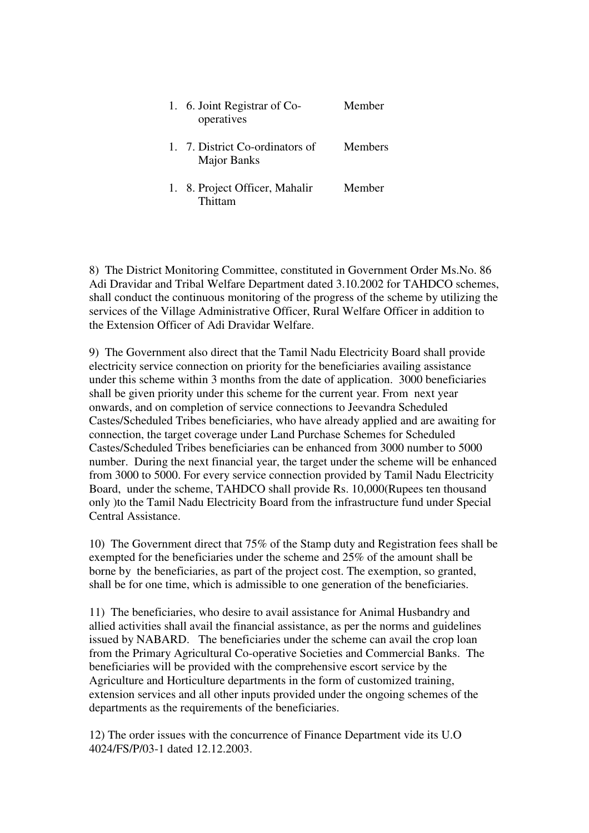| 1. 6. Joint Registrar of Co-<br>operatives            | Member  |
|-------------------------------------------------------|---------|
| 1. 7. District Co-ordinators of<br><b>Major Banks</b> | Members |
| 1. 8. Project Officer, Mahalir<br>Thittam             | Member  |

8) The District Monitoring Committee, constituted in Government Order Ms.No. 86 Adi Dravidar and Tribal Welfare Department dated 3.10.2002 for TAHDCO schemes, shall conduct the continuous monitoring of the progress of the scheme by utilizing the services of the Village Administrative Officer, Rural Welfare Officer in addition to the Extension Officer of Adi Dravidar Welfare.

9) The Government also direct that the Tamil Nadu Electricity Board shall provide electricity service connection on priority for the beneficiaries availing assistance under this scheme within 3 months from the date of application. 3000 beneficiaries shall be given priority under this scheme for the current year. From next year onwards, and on completion of service connections to Jeevandra Scheduled Castes/Scheduled Tribes beneficiaries, who have already applied and are awaiting for connection, the target coverage under Land Purchase Schemes for Scheduled Castes/Scheduled Tribes beneficiaries can be enhanced from 3000 number to 5000 number. During the next financial year, the target under the scheme will be enhanced from 3000 to 5000. For every service connection provided by Tamil Nadu Electricity Board, under the scheme, TAHDCO shall provide Rs. 10,000(Rupees ten thousand only )to the Tamil Nadu Electricity Board from the infrastructure fund under Special Central Assistance.

10) The Government direct that 75% of the Stamp duty and Registration fees shall be exempted for the beneficiaries under the scheme and 25% of the amount shall be borne by the beneficiaries, as part of the project cost. The exemption, so granted, shall be for one time, which is admissible to one generation of the beneficiaries.

11) The beneficiaries, who desire to avail assistance for Animal Husbandry and allied activities shall avail the financial assistance, as per the norms and guidelines issued by NABARD. The beneficiaries under the scheme can avail the crop loan from the Primary Agricultural Co-operative Societies and Commercial Banks. The beneficiaries will be provided with the comprehensive escort service by the Agriculture and Horticulture departments in the form of customized training, extension services and all other inputs provided under the ongoing schemes of the departments as the requirements of the beneficiaries.

12) The order issues with the concurrence of Finance Department vide its U.O 4024/FS/P/03-1 dated 12.12.2003.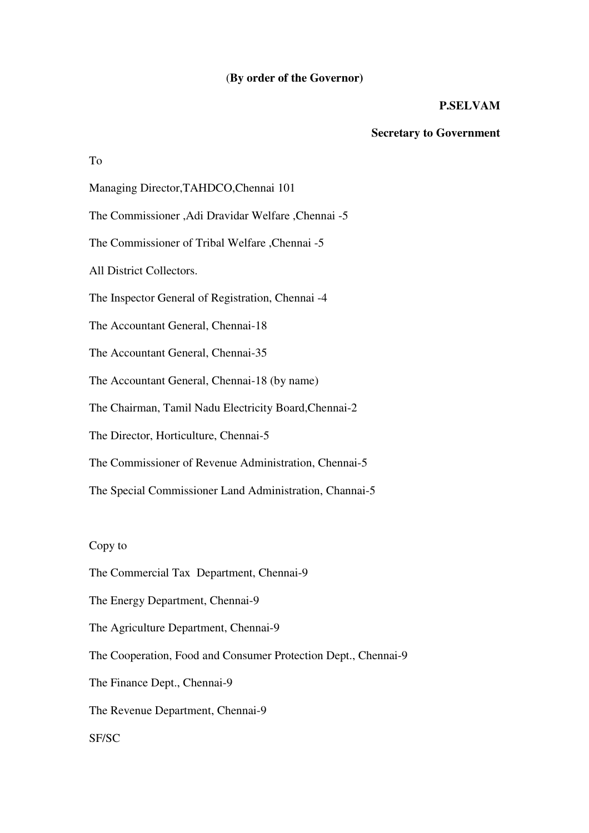#### (**By order of the Governor)**

### **P.SELVAM**

#### **Secretary to Government**

To

Managing Director,TAHDCO,Chennai 101

The Commissioner ,Adi Dravidar Welfare ,Chennai -5

The Commissioner of Tribal Welfare ,Chennai -5

All District Collectors.

The Inspector General of Registration, Chennai -4

The Accountant General, Chennai-18

The Accountant General, Chennai-35

The Accountant General, Chennai-18 (by name)

The Chairman, Tamil Nadu Electricity Board,Chennai-2

The Director, Horticulture, Chennai-5

The Commissioner of Revenue Administration, Chennai-5

The Special Commissioner Land Administration, Channai-5

Copy to

The Commercial Tax Department, Chennai-9

The Energy Department, Chennai-9

The Agriculture Department, Chennai-9

The Cooperation, Food and Consumer Protection Dept., Chennai-9

The Finance Dept., Chennai-9

The Revenue Department, Chennai-9

SF/SC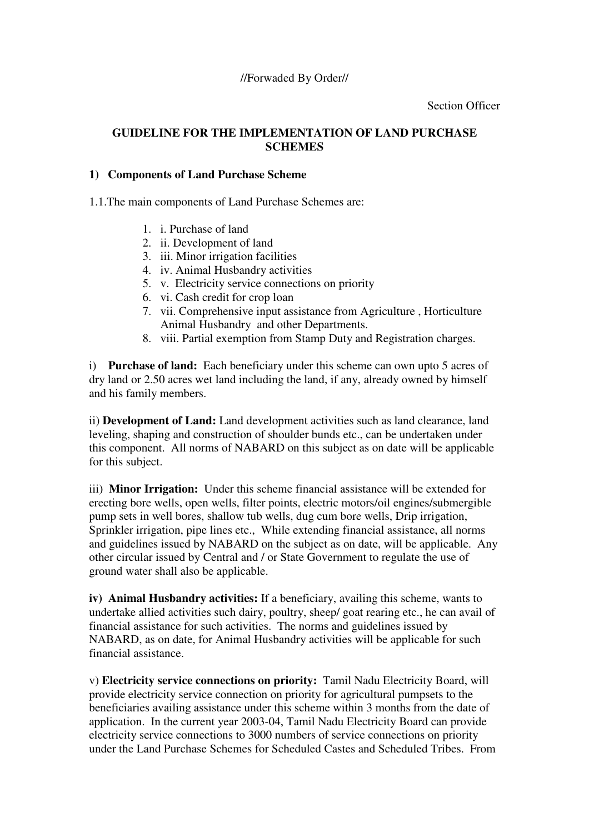# **GUIDELINE FOR THE IMPLEMENTATION OF LAND PURCHASE SCHEMES**

#### **1) Components of Land Purchase Scheme**

1.1.The main components of Land Purchase Schemes are:

- 1. i. Purchase of land
- 2. ii. Development of land
- 3. iii. Minor irrigation facilities
- 4. iv. Animal Husbandry activities
- 5. v. Electricity service connections on priority
- 6. vi. Cash credit for crop loan
- 7. vii. Comprehensive input assistance from Agriculture , Horticulture Animal Husbandry and other Departments.
- 8. viii. Partial exemption from Stamp Duty and Registration charges.

i) **Purchase of land:** Each beneficiary under this scheme can own upto 5 acres of dry land or 2.50 acres wet land including the land, if any, already owned by himself and his family members.

ii) **Development of Land:** Land development activities such as land clearance, land leveling, shaping and construction of shoulder bunds etc., can be undertaken under this component. All norms of NABARD on this subject as on date will be applicable for this subject.

iii) **Minor Irrigation:** Under this scheme financial assistance will be extended for erecting bore wells, open wells, filter points, electric motors/oil engines/submergible pump sets in well bores, shallow tub wells, dug cum bore wells, Drip irrigation, Sprinkler irrigation, pipe lines etc., While extending financial assistance, all norms and guidelines issued by NABARD on the subject as on date, will be applicable. Any other circular issued by Central and / or State Government to regulate the use of ground water shall also be applicable.

**iv) Animal Husbandry activities:** If a beneficiary, availing this scheme, wants to undertake allied activities such dairy, poultry, sheep/ goat rearing etc., he can avail of financial assistance for such activities. The norms and guidelines issued by NABARD, as on date, for Animal Husbandry activities will be applicable for such financial assistance.

v) **Electricity service connections on priority:** Tamil Nadu Electricity Board, will provide electricity service connection on priority for agricultural pumpsets to the beneficiaries availing assistance under this scheme within 3 months from the date of application. In the current year 2003-04, Tamil Nadu Electricity Board can provide electricity service connections to 3000 numbers of service connections on priority under the Land Purchase Schemes for Scheduled Castes and Scheduled Tribes. From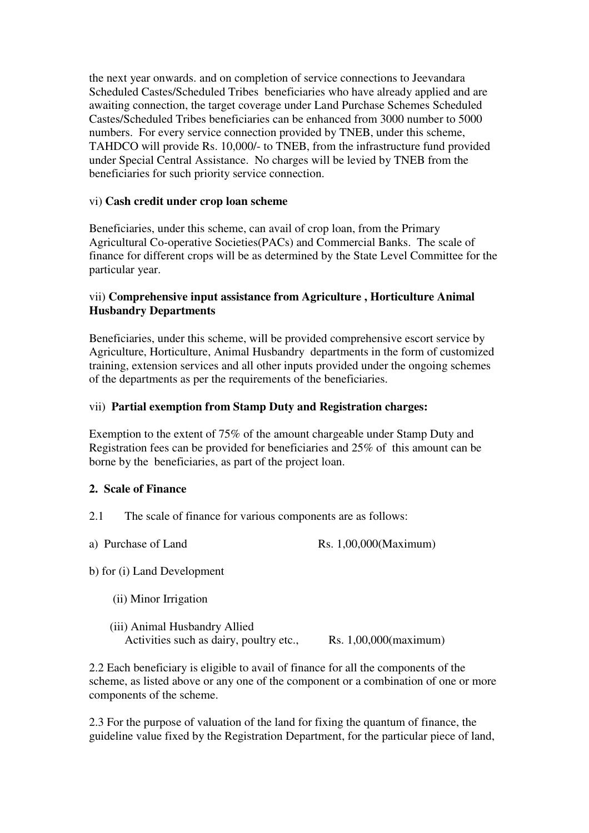the next year onwards. and on completion of service connections to Jeevandara Scheduled Castes/Scheduled Tribes beneficiaries who have already applied and are awaiting connection, the target coverage under Land Purchase Schemes Scheduled Castes/Scheduled Tribes beneficiaries can be enhanced from 3000 number to 5000 numbers. For every service connection provided by TNEB, under this scheme, TAHDCO will provide Rs. 10,000/- to TNEB, from the infrastructure fund provided under Special Central Assistance. No charges will be levied by TNEB from the beneficiaries for such priority service connection.

#### vi) **Cash credit under crop loan scheme**

Beneficiaries, under this scheme, can avail of crop loan, from the Primary Agricultural Co-operative Societies(PACs) and Commercial Banks. The scale of finance for different crops will be as determined by the State Level Committee for the particular year.

#### vii) **Comprehensive input assistance from Agriculture , Horticulture Animal Husbandry Departments**

Beneficiaries, under this scheme, will be provided comprehensive escort service by Agriculture, Horticulture, Animal Husbandry departments in the form of customized training, extension services and all other inputs provided under the ongoing schemes of the departments as per the requirements of the beneficiaries.

#### vii) **Partial exemption from Stamp Duty and Registration charges:**

Exemption to the extent of 75% of the amount chargeable under Stamp Duty and Registration fees can be provided for beneficiaries and 25% of this amount can be borne by the beneficiaries, as part of the project loan.

#### **2. Scale of Finance**

- 2.1 The scale of finance for various components are as follows:
- a) Purchase of Land Rs. 1,00,000(Maximum)

b) for (i) Land Development

- (ii) Minor Irrigation
- (iii) Animal Husbandry Allied Activities such as dairy, poultry etc., Rs. 1,00,000(maximum)

2.2 Each beneficiary is eligible to avail of finance for all the components of the scheme, as listed above or any one of the component or a combination of one or more components of the scheme.

2.3 For the purpose of valuation of the land for fixing the quantum of finance, the guideline value fixed by the Registration Department, for the particular piece of land,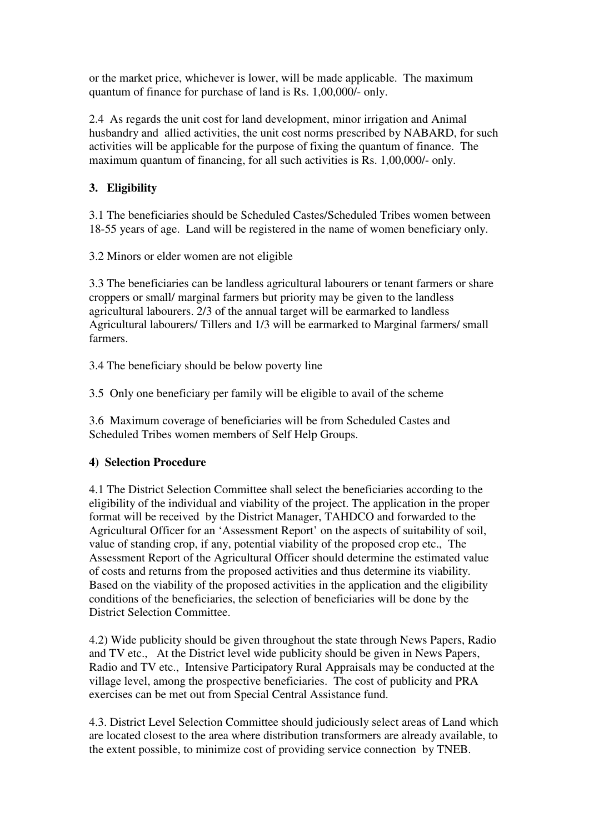or the market price, whichever is lower, will be made applicable. The maximum quantum of finance for purchase of land is Rs. 1,00,000/- only.

2.4 As regards the unit cost for land development, minor irrigation and Animal husbandry and allied activities, the unit cost norms prescribed by NABARD, for such activities will be applicable for the purpose of fixing the quantum of finance. The maximum quantum of financing, for all such activities is Rs. 1,00,000/- only.

# **3. Eligibility**

3.1 The beneficiaries should be Scheduled Castes/Scheduled Tribes women between 18-55 years of age. Land will be registered in the name of women beneficiary only.

3.2 Minors or elder women are not eligible

3.3 The beneficiaries can be landless agricultural labourers or tenant farmers or share croppers or small/ marginal farmers but priority may be given to the landless agricultural labourers. 2/3 of the annual target will be earmarked to landless Agricultural labourers/ Tillers and 1/3 will be earmarked to Marginal farmers/ small farmers.

3.4 The beneficiary should be below poverty line

3.5 Only one beneficiary per family will be eligible to avail of the scheme

3.6 Maximum coverage of beneficiaries will be from Scheduled Castes and Scheduled Tribes women members of Self Help Groups.

# **4) Selection Procedure**

4.1 The District Selection Committee shall select the beneficiaries according to the eligibility of the individual and viability of the project. The application in the proper format will be received by the District Manager, TAHDCO and forwarded to the Agricultural Officer for an 'Assessment Report' on the aspects of suitability of soil, value of standing crop, if any, potential viability of the proposed crop etc., The Assessment Report of the Agricultural Officer should determine the estimated value of costs and returns from the proposed activities and thus determine its viability. Based on the viability of the proposed activities in the application and the eligibility conditions of the beneficiaries, the selection of beneficiaries will be done by the District Selection Committee.

4.2) Wide publicity should be given throughout the state through News Papers, Radio and TV etc., At the District level wide publicity should be given in News Papers, Radio and TV etc., Intensive Participatory Rural Appraisals may be conducted at the village level, among the prospective beneficiaries. The cost of publicity and PRA exercises can be met out from Special Central Assistance fund.

4.3. District Level Selection Committee should judiciously select areas of Land which are located closest to the area where distribution transformers are already available, to the extent possible, to minimize cost of providing service connection by TNEB.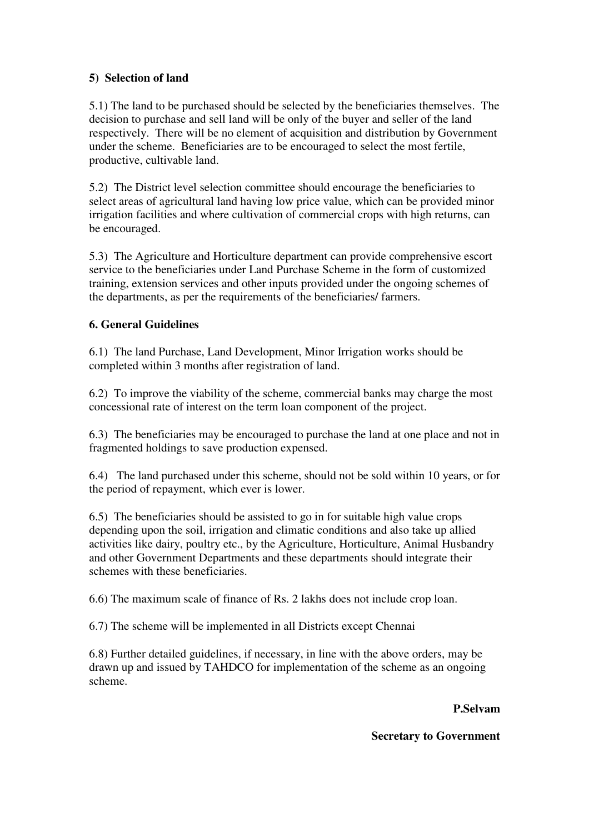# **5) Selection of land**

5.1) The land to be purchased should be selected by the beneficiaries themselves. The decision to purchase and sell land will be only of the buyer and seller of the land respectively. There will be no element of acquisition and distribution by Government under the scheme. Beneficiaries are to be encouraged to select the most fertile, productive, cultivable land.

5.2) The District level selection committee should encourage the beneficiaries to select areas of agricultural land having low price value, which can be provided minor irrigation facilities and where cultivation of commercial crops with high returns, can be encouraged.

5.3) The Agriculture and Horticulture department can provide comprehensive escort service to the beneficiaries under Land Purchase Scheme in the form of customized training, extension services and other inputs provided under the ongoing schemes of the departments, as per the requirements of the beneficiaries/ farmers.

# **6. General Guidelines**

6.1) The land Purchase, Land Development, Minor Irrigation works should be completed within 3 months after registration of land.

6.2) To improve the viability of the scheme, commercial banks may charge the most concessional rate of interest on the term loan component of the project.

6.3) The beneficiaries may be encouraged to purchase the land at one place and not in fragmented holdings to save production expensed.

6.4) The land purchased under this scheme, should not be sold within 10 years, or for the period of repayment, which ever is lower.

6.5) The beneficiaries should be assisted to go in for suitable high value crops depending upon the soil, irrigation and climatic conditions and also take up allied activities like dairy, poultry etc., by the Agriculture, Horticulture, Animal Husbandry and other Government Departments and these departments should integrate their schemes with these beneficiaries.

6.6) The maximum scale of finance of Rs. 2 lakhs does not include crop loan.

6.7) The scheme will be implemented in all Districts except Chennai

6.8) Further detailed guidelines, if necessary, in line with the above orders, may be drawn up and issued by TAHDCO for implementation of the scheme as an ongoing scheme.

**P.Selvam** 

**Secretary to Government**